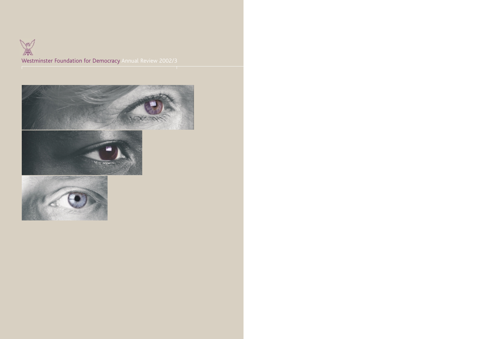Westminster Foundation for Democracy Annual Review 2002/3

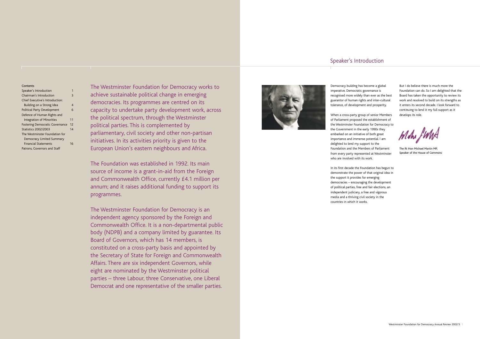The Westminster Foundation for Democracy works to achieve sustainable political change in emerging democracies. Its programmes are centred on its capacity to undertake party development work, across the political spectrum, through the Westminster political parties. This is complemented by parliamentary, civil society and other non-partisan initiatives. In its activities priority is given to the European Union's eastern neighbours and Africa.

The Foundation was established in 1992. Its main source of income is a grant-in-aid from the Foreign and Commonwealth Office, currently £4.1 million per annum; and it raises additional funding to support its programmes.

The Westminster Foundation for Democracy is an independent agency sponsored by the Foreign and Commonwealth Office. It is a non-departmental public body (NDPB) and a company limited by guarantee. Its Board of Governors, which has 14 members, is constituted on a cross-party basis and appointed by the Secretary of State for Foreign and Commonwealth Affairs. There are six independent Governors, while eight are nominated by the Westminster political parties – three Labour, three Conservative, one Liberal Democrat and one representative of the smaller parties.



| Contents                               |    |
|----------------------------------------|----|
| Speaker's Introduction                 |    |
| Chairman's Introduction                | 3  |
| Chief Executive's Introduction:        |    |
| Building on a Strong Idea              | 4  |
| Political Party Development            | 6  |
| Defence of Human Rights and            |    |
| Integration of Minorities              | 11 |
| <b>Fostering Democratic Governance</b> | 12 |
| <b>Statistics 2002/2003</b>            | 14 |
| The Westminster Foundation for         |    |
| Democracy Limited Summary              |    |
| <b>Financial Statements</b>            | 16 |
| Patrons, Governors and Staff           |    |
|                                        |    |

Democracy building has become a global imperative. Democratic governance is recognised more widely than ever as the best guarantor of human rights and inter-cultural tolerance, of development and prosperity.

When a cross-party group of senior Members of Parliament proposed the establishment of the Westminster Foundation for Democracy to the Government in the early 1990s they embarked on an initiative of both great importance and immense potential. I am delighted to lend my support to the Foundation and the Members of Parliament from every party represented at Westminster who are involved with its work.

In its first decade the Foundation has begun to demonstrate the power of that original idea in the support it provides for emerging democracies – encouraging the development of political parties, free and fair elections, an independent judiciary, a free and vigorous media and a thriving civil society in the countries in which it works.

But I do believe there is much more the Foundation can do. So I am delighted that the Board has taken the opportunity to review its work and resolved to build on its strengths as it enters its second decade. I look forward to continuing to lend it my full support as it develops its role.

The Rt Hon Michael Martin MP, Speaker of the House of Commons

# Speaker's Introduction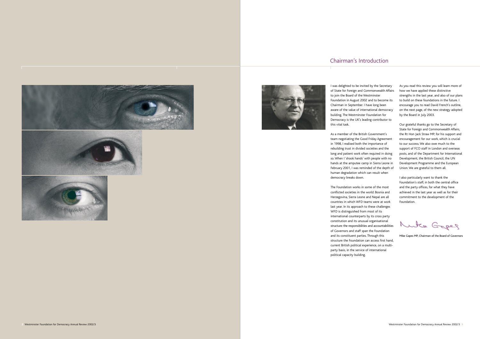# Chairman's Introduction









I was delighted to be invited by the Secretary of State for Foreign and Commonwealth Affairs to join the Board of the Westminster Foundation in August 2002 and to become its Chairman in September. I have long been aware of the value of international democracy building. The Westminster Foundation for Democracy is the UK's leading contributor to this vital task.

As a member of the British Government's team negotiating the Good Friday Agreement in 1998, I realised both the importance of rebuilding trust in divided societies and the long and patient work often required in doing so. When I 'shook hands' with people with no hands at the amputee camp in Sierra Leone in February 2001, I was reminded of the depth of human degradation which can result when democracy breaks down.

The Foundation works in some of the most conflicted societies in the world: Bosnia and Herzegovina, Sierra Leone and Nepal are all countries in which WFD teams were at work last year. In its approach to these challenges WFD is distinguished from most of its international counterparts by its cross party constitution and its unusual organisational structure: the responsibilities and accountabilities of Governors and staff span the Foundation and its constituent parties. Through this structure the Foundation can access first hand, current British political experience, on a multiparty basis, in the service of international political capacity building.

As you read this review you will learn more of how we have applied these distinctive strengths in the last year, and also of our plans to build on these foundations in the future. I encourage you to read David French's outline, on the next page, of the new strategy adopted by the Board in July 2003.

Our grateful thanks go to the Secretary of State for Foreign and Commonwealth Affairs, the Rt Hon Jack Straw MP, for his support and encouragement for our work, which is crucial to our success. We also owe much to the support of FCO staff in London and overseas posts, and of the Department for International Development, the British Council, the UN Development Programme and the European Union. We are grateful to them all.

I also particularly want to thank the Foundation's staff, in both the central office and the party offices, for what they have achieved in the last year as well as for their commitment to the development of the Foundation.

Muta Gepes

Mike Gapes MP, Chairman of the Board of Governors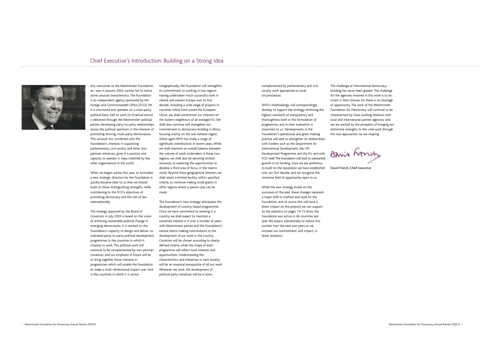## Chief Executive's Introduction: Building on a Strong Idea



Any newcomer to the Westminster Foundation, as I was in January 2003, cannot fail to notice some unusual characteristics. The Foundation is an independent agency sponsored by the Foreign and Commonwealth Office (FCO). Yet it is structured and operates on a cross-party, political basis: half its work (in financial terms) is delivered through the Westminster political parties, developing party-to-party relationships across the political spectrum in the interests of promoting thriving, multi-party democracies. This unusual mix, combined with the Foundation's interests in supporting parliamentary, civil society and other nonpartisan initiatives, gives it a position and capacity to operate in ways matched by few other organisations in the world.

When we began, earlier this year, to formulate a new strategic direction for the Foundation it quickly became clear to us that we should build on these distinguishing strengths, while contributing to the FCO's objectives of promoting democracy and the rule of law internationally.

The strategy approved by the Board of Governors in July 2003 is based on the vision of achieving sustainable political change in emerging democracies. It is centred on the Foundation's capacity to design and deliver coordinated party-to-party political development programmes in the countries in which it chooses to work. This political work will continue to be complemented by non-partisan initiatives; and our emphasis in future will be to bring together these interests in programmes which will enable the Foundation to make a multi-dimensional impact over time in the countries in which it is active.

Geographically, the Foundation will strengthen its commitment to working in two regions. Having undertaken much successful work in central and eastern Europe over its first decade, including a wide range of projects in countries which have joined the European Union, we shall concentrate our interests on the Eastern neighbours of an enlarged EU. We shall also continue and strengthen our commitment to democracy-building in Africa, focusing mainly on the sub-Saharan region, where again WFD has made a range of significant contributions in recent years. While we shall maintain an overall balance between the volume of work undertaken in these two regions, we shall also be devoting limited resources to exploring the opportunities to develop a third area of focus, in the Islamic world. Beyond these geographical interests we shall retain a limited facility, within specified criteria, to continue making small grants in other regions where a special case can be made.

The Foundation's new strategy anticipates the development of country-based programmes. Once we have committed to working in a country we shall expect to maintain a sustained interest in it over a number of years, with Westminster parties and the Foundation's central teams making contributions to the development of our work in the country. Countries will be chosen according to clearlydefined criteria, while the shape of each programme will reflect local interests and opportunities. Understanding the characteristics and influences in each locality will be an essential prerequisite of all our work. Wherever we work, the development of political party initiatives will be a norm,

complemented by parliamentary and civil society work appropriate to local circumstances.

WFD's methodology will correspondingly develop to support the strategy. Achieving the highest standards of transparency and thoroughness both in the formulation of programmes and in their evaluation is important to us. Developments in the Foundation's operational and grant-making practice will seek to strengthen its relationships with funders such as the Department for International Development, the UN Development Programme and the EU and with FCO itself.The Foundation will look to substantial growth in its funding, since we are ambitious to build on the reputation we have established over our first decade; and we recognise the immense field of opportunity open to us.

While the new strategy builds on the successes of the past, these changes represent a major shift in method and style for the Foundation, and of course this will have a direct impact on the projects we can support. As the statistics on pages 14-15 show, the Foundation was active in 46 countries last year. We expect substantially to reduce this number over the next two years as we increase our commitment, and impact, in fewer locations.

The challenge of international democracybuilding has never been greater. The challenge for the agencies involved in this work is to be smart in their choices, for there is no shortage of opportunity. The work of the Westminster Foundation for Democracy will continue to be characterised by close working relations with local and international partner agencies; and we are excited by the prospects of bringing our distinctive strengths to this vital work through the new approaches we are shaping.

Banis Long

David French, Chief Executive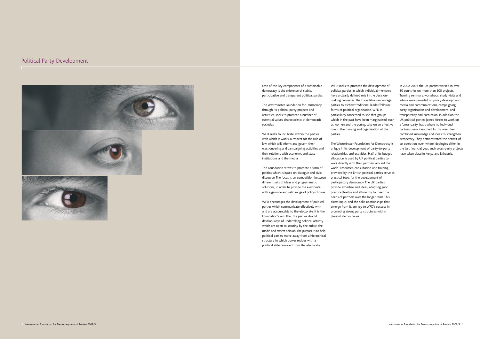One of the key components of a sustainable democracy is the existence of stable, participative and transparent political parties.

The Westminster Foundation for Democracy, through its political party projects and activities, seeks to promote a number of essential values characteristic of democratic societies.

WFD seeks to inculcate, within the parties with which it works, a respect for the rule of law, which will inform and govern their electioneering and campaigning activities and their relations with economic and state institutions and the media.

The Foundation strives to promote a form of politics which is based on dialogue and civic discourse. The focus is on competition between different sets of ideas and programmatic solutions, in order to provide the electorate with a genuine and valid range of policy choices.

WFD encourages the development of political parties which communicate effectively with and are accountable to the electorate. It is the Foundation's aim that the parties should develop ways of undertaking political activity which are open to scrutiny by the public, the media and expert opinion. The purpose is to help political parties move away from a hierarchical structure in which power resides with a political elite removed from the electorate.

WFD seeks to promote the development of political parties in which individual members have a clearly defined role in the decisionmaking processes. The Foundation encourages parties to eschew traditional leader/follower forms of political organisation. WFD is particularly concerned to see that groups which in the past have been marginalised, such as women and the young, take on an effective role in the running and organisation of the parties.

The Westminster Foundation for Democracy is unique in its development of party-to-party relationships and activities. Half of its budget allocation is used by UK political parties to work directly with their partners around the world. Resources, consultation and training provided by the British political parties serve as practical tools for the development of participatory democracy. The UK parties provide expertise and ideas, adapting good practice flexibly and efficiently to meet the needs of partners over the longer term. This direct input, and the solid relationships that emerge from it, are key to WFD's success in promoting strong party structures within pluralist democracies.

In 2002-2003 the UK parties worked in over 30 countries on more than 200 projects. Training seminars, workshops, study visits and advice were provided on policy development, media and communications, campaigning, party organisation and development, and transparency and corruption. In addition the UK political parties joined forces to work on a 'cross-party' basis where no individual partners were identified. In this way they combined knowledge and ideas to strengthen democracy. They demonstrated the benefit of co-operation, even where ideologies differ. In the last financial year, such cross-party projects have taken place in Kenya and Lithuania.

# Political Party Development



![](_page_4_Picture_2.jpeg)

![](_page_4_Picture_3.jpeg)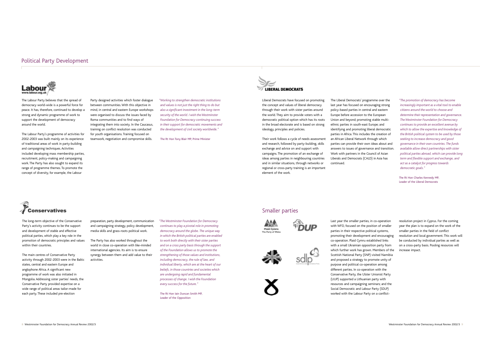## Political Party Development

![](_page_5_Picture_1.jpeg)

### Smaller parties

![](_page_5_Picture_19.jpeg)

![](_page_5_Picture_21.jpeg)

![](_page_5_Picture_22.jpeg)

Last year the smaller parties, in co-operation with WFD, focused on the position of smaller parties in their respective political systems, promoting their development and encouraging co-operation. Plaid Cymru established links with a small Ukrainian opposition party from which further work has grown. Members of the Scottish National Party (SNP) visited Namibia and proposed a strategy to promote unity of purpose and political co-operation among different parties. In co-operation with the Conservative Party, the Ulster Unionist Party (UUP) supported a Lithuanian party with resources and campaigning seminars; and the Social Democratic and Labour Party (SDLP) worked with the Labour Party on a conflict-

resolution project in Cyprus. For the coming year the plan is to expand on the work of the smaller parties in the field of conflict resolution and local government. This work will be conducted by individual parties as well as on a cross-party basis. Pooling resources will increase impact.

The Labour Party believes that the spread of democracy world-wide is a powerful force for peace. It has, therefore, continued to develop a strong and dynamic programme of work to support the development of democracy around the world.

The Labour Party's programme of activities for 2002-2003 was built mainly on its experience of traditional areas of work in party-building and campaigning techniques. Activities included developing mass membership parties, recruitment, policy-making and campaigning work. The Party has also sought to expand its range of programme themes. To promote the concept of diversity, for example, the Labour

Party designed activities which foster dialogue between communities. With this objective in mind, in central and eastern Europe workshops were organised to discuss the issues faced by Roma communities and to find ways of integrating them into society. In the Caucasus, training on conflict resolution was conducted for youth organisations. Training focused on teamwork, negotiation and compromise skills.

*"Working to strengthen democratic institutions and values is not just the right thing to do but also a significant investment in the long-term security of the world. I wish the Westminster Foundation for Democracy continuing success in their support for democratic movements and the development of civil society worldwide."*

The Rt Hon Tony Blair MP, Prime Minister

![](_page_5_Picture_7.jpeg)

Liberal Democrats have focused on promoting the concept and values of liberal democracy through their work with sister parties around the world. They aim to provide voters with a democratic political option which has its roots in the broad electorate and is based on strong ideology, principles and policies.

Their work follows a cycle of needs assessment and research, followed by party-building, skills exchange and advice on and support with campaigns. The promotion of an exchange of ideas among parties in neighbouring countries and in similar situations, through networks or regional or cross-party training is an important element of the work.

The Liberal Democrats' programme over the last year has focused on encouraging strong policy-based parties in central and eastern Europe before accession to the European Union and beyond; promoting stable multiethnic parties in south-east Europe; and identifying and promoting liberal democratic parties in Africa. This includes the creation of an African Liberal Network through which parties can provide their own ideas about and answers to issues of governance and transition. Work with partners in the Council of Asian Liberals and Democrats (CALD) in Asia has continued.

![](_page_5_Picture_11.jpeg)

*"The promotion of democracy has become increasingly important as a vital tool to enable citizens around the world to choose and determine their representation and governance. The Westminster Foundation for Democracy continues to provide an excellent avenue by which to allow the expertise and knowledge of the British political system to be used by those seeking to increase democracy and good governance in their own countries. The funds available allow direct partnerships with sister political parties abroad, which can provide long term and flexible support and exchange, and act as a catalyst for progress towards democratic goals."*

The Rt Hon Charles Kennedy MP, Leader of the Liberal Democrats

The long-term objective of the Conservative Party's activity continues to be the support and development of stable and effective political parties, which play a key role in the promotion of democratic principles and values within their countries.

The main centres of Conservative Party activity through 2002-2003 were in the Baltic states, central and eastern Europe and anglophone Africa. A significant new programme of work was also initiated in Mongolia. Addressing sister parties' needs, the Conservative Party provided expertise on a wide range of political areas tailor-made for each party. These included pre-election

preparation, party development, communication and campaigning strategy, policy development, media skills and grass-roots political work.

The Party has also worked throughout the world in close co-operation with like-minded international agencies. Its aim is to ensure synergy between them and add value to their activities.

*"The Westminster Foundation for Democracy continues to play a pivotal role in promoting democracy around the globe. The unique way in which the British political parties are enabled to work both directly with their sister parties and on a cross party basis through the support of the Foundation allows us to promote the strengthening of those values and institutions, including democracy, the rule of law, and individual liberty, which are at the heart of our beliefs, in those countries and societies which are undergoing rapid and fundamental processes of change. I wish the Foundation every success for the future."*

The Rt Hon Iain Duncan Smith MP, Leader of the Opposition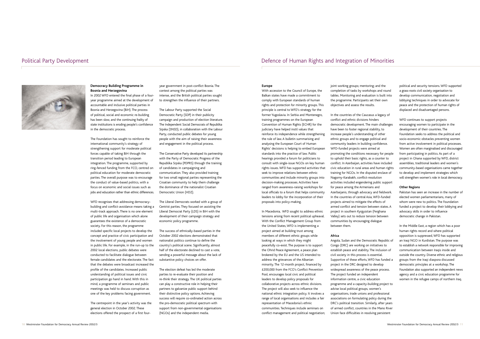### **Europe**

With accession to the Council of Europe, the Balkan states have made a commitment to comply with European standards of human rights and protection for minority groups. This principle is central to WFD's strategy for the former Yugoslavia. In Serbia and Montenegro, training programmes on the European Convention of Human Rights (ECHR) for the judiciary have helped instil values that reinforce its independence while strengthening the rule of law. A bulletin summarising and analysing the European Court of Human Rights' decisions is helping to embed European standards into the practice of law. Public hearings provided a forum for politicians to consult with single-issue NGOs on key human rights issues. WFD has supported activities that seek to improve relations between ethnic communities and include minority groups into decision-making processes. Activities have ranged from awareness-raising workshops for local officials to a forum that helps community leaders to lobby for the incorporation of their proposals into policy-making.

In Macedonia, WFD sought to address ethnic tensions arising from recent political upheaval. With the Conflict Management Group from the United States, WFD is implementing a project aimed at building trust among members of different ethnic groups while looking at ways in which they might peacefully co-exist. The purpose is to support the Ohrid Peace Agreement, a peace plan brokered by the EU and the US intended to address the grievances of the Albanian minority. The 12-month project, financed by £200,000 from the FCO's Conflict Prevention Pool, encourages local civic and political leaders to develop policy proposals for collaborative projects across ethnic divisions. The project will also seek to influence the national ethnic integration policy. It involves a range of local organisations and includes a fair representation of Macedonia's ethnic communities. Techniques include seminars on conflict management and political negotiation;

joint working groups; mentoring; and the completion of tasks by workshops and round tables. Monitoring and evaluation is built into the programme. Participants set their own objectives and assess the results.

In the countries of the Caucasus a legacy of conflict and ethnic divisions hinders democratic development. The main challenges have been to foster regional stability, to increase people's understanding of other ethnic groups and to engage political and community leaders in building confidence. WFD-funded projects were aimed at promoting the conditions necessary for people to uphold their basic rights, as a counter to conflict. In Azerbaijan, activities have included civic education in rural areas and human rights training for NGOs. In the disputed enclave of Nagorny-Karabakh, conflict-resolution activities included engendering public support for peace among the Armenians and Azerbaijanis, through advocacy and fieldwork. In the countries of central Asia, WFD-funded projects aimed to mitigate the effects of armed conflict and tension between states. A project in southern Kyrgyzstan (Ferghana Valley) sets out to reduce tension between communities by encouraging dialogue between them.

### **Africa**

Angola, Sudan and the Democratic Republic of Congo (DRC) are working on initiatives to establish peace and stability. The inclusion of civil society in this process is essential. Supportive of these efforts, WFD has funded a project in the DRC designed to develop widespread awareness of the peace process. The project funded an independent information centre, a civic education programme and a capacity-building project to advise local political groups, women's organisations, trade unions and professional associations on formulating policy during the DRC's political transition. Similarly, after years of armed conflict, countries in the Mano River Union face difficulties in resolving persistent

political and security tensions. WFD supported a grass-roots civil society organisation to develop communication, negotiation and lobbying techniques in order to advocate for peace and the protection of human rights of displaced and disadvantaged persons.

WFD continues to support projects encouraging women to participate in the development of their countries. The Foundation seeks to address the political and socio-economic obstacles preventing women from active involvement in political processes. Women are often marginalised and discouraged from participating in politics. As part of a project in Ghana supported by WFD, district assemblies, traditional leaders and women's community-based organisations came together to develop and implement strategies which will strengthen women's role in local democracy.

### **Other Regions**

Pakistan has seen an increase in the number of elected women parliamentarians, many of whom were new to politics. The Foundation funded a project to develop their lobbying and advocacy skills in order to influence democratic change in Pakistan.

In the Middle East, a region which has a poor human rights record and where political opposition is suppressed, WFD has supported an Iraqi NGO in Kurdistan. The purpose was to establish a network responsible for improving communication between Iraqis inside and outside the country. Diverse ethnic and religious groups from the Iraqi diaspora discussed democratic principles at a workshop. The Foundation also supported an independent news agency and a civic education programme for women in the refugee camps of northern Iraq.

![](_page_6_Picture_1.jpeg)

### **Democracy Building Programme in Bosnia and Herzegovina**

In 2002 WFD entered the final phase of a fouryear programme aimed at the development of accountable and inclusive political parties in Bosnia and Herzegovina (BiH). The process of political, social and economic re-building has been slow, and the continuing frailty of state institutions is eroding people's confidence in the democratic process.

The Foundation has sought to reinforce the international community's strategy of strengthening support for moderate political forces capable of taking BiH through the transition period leading to European integration. The programme, supported by ring-fenced funding from the FCO, centred on political education for moderate democratic parties. The overall purpose was to encourage the conduct of value-based politics, with a focus on economic and social issues such as jobs and education rather than ethnic differences.

WFD recognises that addressing democracybuilding and conflict-avoidance means taking a multi-track approach. There is no one element of public life and organisation which alone guarantees the existence of a democratic society. For this reason, the programme included specific local projects to develop the concept and practice of civic participation and the involvement of young people and women in public life. For example, in the run-up to the 2002 local elections, public debates were conducted to facilitate dialogue between female candidates and the electorate. The fact that the debates were broadcast increased the profile of the candidates. Increased public understanding of political issues and civic participation go hand in hand. With this in mind, a programme of seminars and public meetings was held to discuss corruption as one of the key problems facing government.

The centrepoint in the year's activity was the general election in October 2002. These elections offered the prospect of a first four-

year government in post-conflict Bosnia. The contest among the political parties was intense, and the British political parties sought to strengthen the influence of their partners.

The Labour Party supported the Social Democratic Party (SDP) in their publicity campaign and production of election literature. The Independent Social Democrats of Republika Srpska (SNSD), in collaboration with the Labour Party, conducted public debates for young people with the aim of raising their awareness and engagement in the political process.

The Conservative Party developed its partnership with the Party of Democratic Progress of the Republika Srpska (PDPRS) through the training of candidates in campaigning and communication. They also provided training for two small regional parties representing the Croatian community to help them challenge the dominance of the nationalist Croatian Democratic Union (HDZ).

The Liberal Democrats worked with a group of Centrist parties. They focused on assisting the Liberal Democrat Party (LDS) in BiH with the development of their campaign strategy and economic policy programme.

The success of ethnically-based parties in the October 2002 elections demonstrated that nationalist politics continue to define the country's political scene. Significantly, almost half of the electorate declined to cast a vote, sending a powerful message about the lack of substantive policy choices on offer.

The election defeat has led the moderate parties to re-evaluate their position and re-think their strategy. The UK political parties can play a constructive role in helping their partners to galvanize public support behind their distinctive policy options. Achieving success will require co-ordinated action across the pro-democratic political spectrum with support from non-governmental organisations (NGOs) and the independent media.

# Political Party Development **Defence of Human Rights and Integration of Minorities**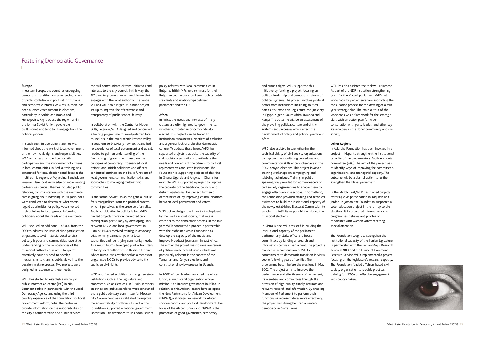# Fostering Democratic Governance

and human rights. WFD supported this initiative by funding a project focusing on political leadership and democratic reform of political systems. The project involves political actors from institutions including political parties, the executive, legislature and judiciary in Egypt, Nigeria, South Africa, Rwanda and Kenya. The outcome will be an assessment of the prevailing political culture and of the systems and processes which affect the development of policy and political practice in Africa.

WFD also assisted in strengthening the technical ability of civil society organisations to improve the monitoring procedures and communication skills of civic observers in the 2002 Kenyan elections. This project involved training workshops on campaigning and lobbying techniques. Training in public speaking was provided for women leaders of civil society organisations to enable them to engage effectively in elections. In Somaliland, the Foundation provided training and technical assistance to build the institutional capacity of the newly-established Electoral Commission to enable it to fulfil its responsibilities during the municipal elections.

In Sierra Leone, WFD assisted in building the institutional capacity of the parliament, parliamentary clerks office and house committees by funding a research and information centre in parliament. The project is planned as a continuation of WFD's commitment to democratic transition in Sierra Leone following years of conflict. The programme began before the elections in May 2002. The project aims to improve the performance and effectiveness of parliament, its members and committees through the provision of high-quality, timely, accurate and relevant research and information. By enabling Members of Parliament to perform their functions as representatives more effectively, the project will strengthen parliamentary democracy in Sierra Leone.

WFD has also assisted the Malawi Parliament. As part of a UNDP institution-strengthening grant for the Malawi parliament, WFD held workshops for parliamentarians supporting the consultation process for the drafting of a fouryear strategic plan. The main output of the workshops was a framework for the strategic plan, with an action plan for wider consultation with party leaders and other key stakeholders in the donor community and civil society.

### **Other Regions**

In Asia, the Foundation has been involved in a project in Nepal to strengthen the institutional capacity of the parliamentary Public Accounts Committee (PAC). The aim of the project was to identify ways of improving the committee's organisational and managerial capacity. The outcome will be a plan of action to further strengthen the Nepal parliament.

In the Middle East, WFD has funded projects fostering civic participation in Iraq, Iran and Jordan. In Jordan, the Foundation supported a voter education project in the run-up to the elections. It incorporated informative radio programmes, debates and profiles of candidates with women voters receiving special attention.

The Foundation sought to strengthen the institutional capacity of the Iranian legislature. In partnership with the Iranian Majlis Research Centre (MRC) and the House of Commons Research Service, WFD implemented a project focusing on the legislature's research capacity. The Foundation funded a Tehran-based civil society organisation to provide practical training for NGOs on effective engagement with policy-makers.

### **Europe**

In eastern Europe, the countries undergoing democratic transition are experiencing a lack of public confidence in political institutions and democratic reforms. As a result, there has been a lower voter turnout in elections, particularly in Serbia and Bosnia and Herzegovina. Right across the region, and in the former Soviet Union, people are disillusioned and tend to disengage from the political process.

In south-east Europe citizens are not well informed about the work of local government or their own civic rights and responsibilities. WFD activities promoted democratic participation and the involvement of citizens in local communities. In Serbia, training was conducted for local election candidates in the multi-ethnic regions of Vojvodina, Sandzak and Presevo. Here local knowledge of implementing partners was crucial. Themes included public relations, communication with the electorate, campaigning and fundraising. In Bulgaria, polls were conducted to determine what voters regard as priorities for policy. Voters voiced their opinions in focus groups, informing politicians about the needs of the electorate.

WFD secured an additional £45,000 from the FCO to address the issue of civic participation at grassroots level in Serbia. Local service delivery is poor and communities have little understanding of the competencies of the municipal authorities. In order to operate effectively, councils need to develop mechanisms to channel public views into the decision-making process. Two projects were designed in response to these needs.

WFD has started to establish a municipal public information centre (PIC) in Nis, Southern Serbia in partnership with the Local Democracy Agency and using the thirdcountry experience of the Foundation for Local Government Reform, Sofia. The centre will provide information on the responsibilities of the city's administrative and public services

and will communicate citizens' initiatives and interests to the city council. In this way, the PIC aims to promote an active citizenry that engages with the local authority. The centre will add value to a larger US-funded project set up to improve the effectiveness and transparency of public service delivery.

In collaboration with the Centre for Modern Skills, Belgrade, WFD designed and conducted a training programme for newly-elected local councillors in the multi-ethnic Presevo Valley in southern Serbia. Many new politicians had no experience of local government and quickly needed to gain an understanding of the functioning of government based on the principles of democracy. Experienced local trainers and British politicians and officers conducted seminars on the basic functions of local government, communication skills and approaches to managing multi-ethnic communities.

In the former Soviet Union the general public feels marginalised from the political process which it perceives as the preserve of an elite. Public participation in politics is low. WFDfunded projects therefore promoted civic participation, particularly by developing links between NGOs and local government. In Ukraine, NGOs received training in advocacy skills, forming partnerships with local authorities and identifying community needs. As a result, NGOs developed joint action plans to lobby local authorities. In Russia a Citizens Advice Bureau was established as a means for single-issue NGOs to provide advice to the public on civil rights.

WFD also funded activities to strengthen state institutions such as the legislature and processes such as elections. In Russia, seminars on ethics and public standards were conducted and a public advisory committee for Moscow City Government was established to improve the accountability of officials. In Serbia, the Foundation supported a national government innovation unit developed to link social service

policy reforms with local communities. In Bulgaria, British MPs held seminars for their Bulgarian counterparts on issues such as public standards and relationships between parliament and the EU.

### **Africa**

In Africa, the needs and interests of many citizens are often ignored by governments, whether authoritarian or democratically elected. This neglect can be traced to institutional weaknesses, practices of exclusion and a general lack of a pluralist democratic culture. To address these issues, WFD has supported projects that build the capacity of civil society organisations to articulate the needs and concerns of the citizens to political representatives and state institutions. The Foundation is supporting projects of this kind in Ghana, Uganda and Angola. In Ghana, for example, WFD supported a project to improve the capacity of the traditional councils and district legislatures. The project furthered decentralisation by improving communications between local government and voters.

WFD acknowledges the important role played by the media in civil society; that role is essential to the democratic process. In the last year, WFD conducted a project in partnership with the Mohamed Amin Foundation to develop the capacity of the media and improve broadcast journalism in east Africa. The aim of the project was to raise awareness of political and electoral issues, which was particularly relevant in the context of the Tanzanian and Kenyan elections and constitutional review process in Uganda.

In 2002, African leaders launched the African Union, a multilateral organisation whose mission is to improve governance in Africa. In relation to this, African leaders have accepted the New Partnership for African Development (NePAD), a strategic framework for African socio-economic and political development. The focus of the African Union and NePAD is the promotion of good governance, democracy

![](_page_7_Picture_24.jpeg)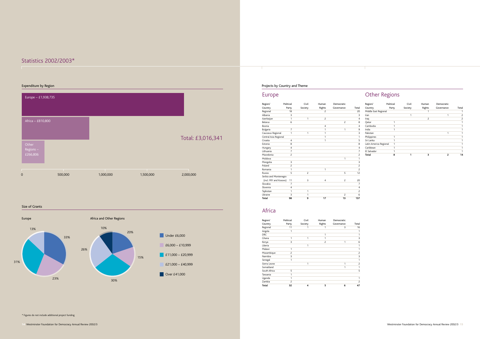# Statistics 2002/2003\*

# Europe

| Region/                | Political      | Civil          | Human          | Democratic     |                |
|------------------------|----------------|----------------|----------------|----------------|----------------|
| Country                | Party          | Society        | Rights         | Governance     | Total          |
| Regional               | 18             |                | $\overline{c}$ |                | 20             |
| Albania                | 3              |                |                |                | $\overline{3}$ |
| Azerbaijan             | 1              | 1              | $\overline{2}$ |                | 4              |
| <b>Belarus</b>         | 6              |                |                | $\overline{c}$ | 8              |
| Bosnia                 |                |                | 4              |                | $\overline{4}$ |
| Bulgaria               | $\overline{7}$ |                | 1              | 1              | 9              |
| Caucasus Regional      | 1              | 1              | 1              |                | 3              |
| Central Asia Regional  |                |                | 1              |                | $\overline{1}$ |
| Croatia                | $\overline{4}$ |                | 1              |                | 5              |
| Estonia                | 8              |                |                |                | 8              |
| Hungary                | $\overline{4}$ |                |                |                | 4              |
| Lithuania              | $\overline{7}$ |                |                |                | 7              |
| Macedonia              | $\overline{c}$ |                |                |                | $\overline{c}$ |
| Moldova                |                |                |                | 1              | $\mathbf{1}$   |
| Mongolia               | 3              |                |                |                | 3              |
| Poland                 | $\overline{c}$ |                |                |                | $\overline{c}$ |
| Romania                | 1              |                | 1              |                | $\overline{c}$ |
| Russia                 | 5              | $\overline{c}$ |                | 5              | 12             |
| Serbia and Montenegro  |                |                |                |                |                |
| (incl. FRY and Kosovo) | 11             | 3              | 4              | $\overline{c}$ | 20             |
| Slovakia               | $\overline{7}$ |                |                |                | $\overline{7}$ |
| Slovenia               | $\overline{4}$ |                |                |                | 4              |
| Tajikistan             | 1              | 1              |                |                | $\overline{c}$ |
| Ukraine                | 3              | 1              |                | $\overline{c}$ | 6              |
| <b>Total</b>           | 98             | 9              | 17             | 13             | 137            |

# Africa

| Region/      | Political | Civil   | Human          | Democratic |                |
|--------------|-----------|---------|----------------|------------|----------------|
| Country      | Party     | Society | Rights         | Governance | Total          |
| Regional     | 11        |         |                | 3          | 16             |
| Angola       |           |         |                |            |                |
| <b>DRC</b>   |           |         |                |            |                |
| Ghana        |           | 1       |                |            | 3              |
| Kenya        | 3         |         | $\overline{c}$ | 1          | 6              |
| Liberia      |           | 1       |                |            |                |
| Malawi       |           |         |                |            |                |
| Mozambique   | 2         |         |                |            | $\overline{c}$ |
| Namibia      | 3         |         |                |            | 3              |
| Senegal      |           |         |                |            | 1              |
| Sierra Leone |           | 1       |                |            | $\overline{c}$ |
| Somaliland   |           |         |                | 1          | 1              |
| South Africa | 5         |         |                |            | 5              |
| Tanzania     |           |         |                |            |                |
| Uganda       |           |         |                |            |                |
| Zambia       | 2         |         |                |            | 2              |
| Total        | 32        | 4       | 5              | 6          | 47             |

# Other Regions

| Region/                | Political | Civil   | Human  | Democratic |       |
|------------------------|-----------|---------|--------|------------|-------|
| Country                | Party     | Society | Rights | Governance | Total |
| Middle East Regional   |           |         |        |            |       |
| Iran                   |           |         |        |            | 2     |
| Iraq                   |           |         | 2      |            | 2     |
| Oatar                  |           |         |        |            |       |
| Cambodia               |           |         |        |            |       |
| India                  |           |         |        |            |       |
| Pakistan               |           |         |        | 1          |       |
| Philippines            | 1         |         |        |            |       |
| Sri Lanka              |           |         |        |            |       |
| Latin America Regional |           |         |        |            |       |
| Caribbean              |           |         |        |            |       |
| El Salvador            |           |         |        |            |       |
| <b>Total</b>           | 8         |         | 3      | 2          | 14    |

### Size of Grants

![](_page_8_Figure_4.jpeg)

# Expenditure by Region **Expenditure by Region** Projects by Country and Theme

| Europe - £1,938,735           |         |           |           |                   |
|-------------------------------|---------|-----------|-----------|-------------------|
| Africa - £810,800             |         |           |           | Total: £3,016,341 |
| Other<br>Regions-<br>£266,806 |         |           |           |                   |
| П<br>$\mathbf 0$              | 500,000 | 1,000,000 | 1,500,000 | 2,000,000         |

\* Figures do not include additional project funding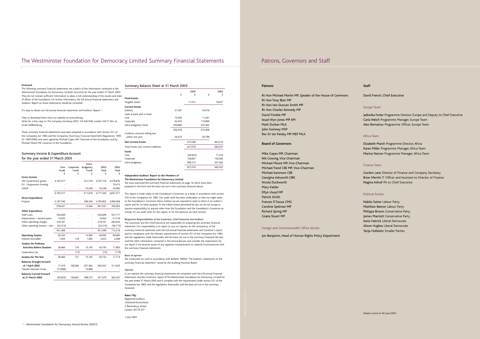### **Patrons**

Rt Hon Michael Martin MP, Speaker of the House of Commons Rt Hon Tony Blair MP Rt Hon Iain Duncan Smith MP Rt Hon Charles Kennedy MP David Trimble MP Ieuan Wyn Jones MP AM Mark Durkan MLA John Swinney MSP Rev Dr Ian Paisley MP MEP MLA

### **Board of Governors**

Mike Gapes MP, Chairman Nik Gowing, Vice-Chairman Michael Moore MP, Vice-Chairman Michael Trend CBE MP, Vice-Chairman Michael Aaronson CBE Georgina Ashworth OBE Nicola Duckworth Mary Kaldor Elfyn Llwyd MP Patrick Smith Frances D'Souza CMG Caroline Spelman MP Richard Spring MP Gisela Stuart MP

### Foreign and Commonwealth Office Adviser

Jon Benjamin, Head of Human Rights Policy Department

### **Staff**

David French, Chief Executive

### Europe Team

Jadranka Foster Programme Director, Europe and Deputy to Chief Executive Carla Welch Programme Manager, Europe Team Alex Romaniuc Programme Officer, Europe Team

### Africa Team

Elizabeth Marsh Programme Director, Africa Karen Miller Programme Manager, Africa Team Marina Narnor Programme Manager, Africa Team

### Finance Team

Gordon Lane Director of Finance and Company Secretary Brian Merritt IT Officer and Assistant to Director of Finance Nagina Ashraf PA to Chief Executive

### Political Parties

Nabila Sattar Labour Party Matthew Beevor Labour Party Philippa Broom Conservative Party James Marriott Conservative Party Karla Hatrick Liberal Democrats Alison Hughes Liberal Democrats Tanja Hollstein Smaller Parties

## The Westminster Foundation for Democracy Limited Summary Financial Statements Patrons, Governors and Staff

### **Foreword**

The following summary financial statements are a précis of the information contained in the Westminster Foundation for Democracy Limited's Accounts for the year ended 31 March 2003. They do not contain sufficient information to allow a full understanding of the results and state of affairs of the Foundation. For further information, the full annual financial statements and Auditors' Report on those statements should be consulted.

It's easy to obtain our full annual financial statements and Auditors' Report: –

View or download them from our website at www.wfd.org Write for a free copy to: The Company Secretary, WFD, 125 Pall Mall, London SW1Y 5EA, or, Email wfd@wfd.org

These summary financial statements have been prepared in accordance with section 251 of the Companies Act 1985 and the Companies (Summary Financial Statement) Regulations 1995 (SI 1995/2092) and were signed by Michael Gapes MP, Chairman of the Foundation, and by Michael Moore MP, Governor of the Foundation.

### Summary Income & Expenditure Account for the year ended 31 March 2003 Extra-Core Corporate budgetary 2003 2002 Funds Funds £££££ **Gross Income** HM Government grants 4,165,577 - 541,578 4,707,155 4,578,876 EU – Royaumont funding ---- 70,413 UNDP - - 70,238 70,238 42,082 4,165,577 - 611,816 4,777,393 4,691,371 **Direct Expenditure** Projects 3,187,546 - 598,256 3,785,802 3,909,368 978,031 - 13,560 991,591 782,003 **Other Expenditure** Staff costs 550,699 - - 550,699 437,171 Depreciation – owned assets 14,932 - - 14,932 27,218 Other operating charges 418,181 - 418,181 284,644 Other operating income – rent (32,313) - - (32,313) (36,715) 951,499 - - 951,499 712,318 **Operating Surplus** 26,532 - 13,560 40,092 69,685 Interest receivable 1,934 134 1,585 3,653 2,208 **Surplus On Ordinary Activities Before Taxation** 28,466 134 15,145 43,745 71,893  $Corporation tax$  -  $(13)$  -  $(179)$ **Surplus For The Year** 28,466 121 15,145 43,732 71,714 **Balances brought forward at 1 April 2002** 17,419 158,566 207,362 383,347 311,633 Transfer between funds (75,808) - 75,808 - - **Balances Carried Forward at 31 March 2003** (29,923) 158,687 298,315 427,079 383,347

### Summary Balance Sheet at 31 March 2003

|                                       | £       | 2003<br>£ | £       | 2002<br>£ |
|---------------------------------------|---------|-----------|---------|-----------|
| <b>Fixed Assets</b>                   |         |           |         |           |
| Tangible assets                       |         | 11,531    |         | 19,837    |
| <b>Current Assets</b>                 |         |           |         |           |
| Debtors                               | 21,397  |           | 34,576  |           |
| Cash at bank and in hand:             |         |           |         |           |
| Core                                  | 73,406  |           | 11,401  |           |
| Corporate                             | 62,355  |           | 115,969 |           |
| Extra-budgetary funds                 | 294,860 |           | 252,362 |           |
|                                       | 452,018 |           | 414,308 |           |
| Creditors: amounts falling due        |         |           |         |           |
| within one year                       | 36,470  |           | 50,798  |           |
| <b>Net Current Assets</b>             |         | 415,548   |         | 363,510   |
| Total Assets Less Current Liabilities |         | 427,079   |         | 383,347   |
| Funds                                 |         |           |         |           |
| Core                                  |         | (29, 923) |         | 17,419    |
| Corporate                             |         | 158,687   |         | 158,566   |
| Extra-budgetary                       |         | 298,315   |         | 207,362   |
|                                       |         | 427,079   |         | 383,347   |
|                                       |         |           |         |           |

### **Independent Auditors' Report to the Members of The Westminster Foundation for Democracy Limited**

We have examined the summary financial statements on page 16 which have been prepared in the form and the basis set out in the summary foreword above.

This report is made solely to the Foundation's Governors, as a body, in accordance with section 235 of the Companies Act 1985. Our audit work has been undertaken so that we might state to the Foundation's Governors those matters we are required to state to them in an auditor's report and for no other purpose. To the fullest extent permitted by law, we do not accept or assume responsibility to anyone other than the Foundation and the Foundation's Governors as a body, for our audit work, for this report, or for the opinions we have formed.

### Respective Responsibilities of the Governors, Chief Executive and Auditors

The Governors and the Chief Executive are responsible for preparing the summary financial statement. Our responsibility is to report to you our opinion on the consistency of the summary financial statement with the full annual financial statements and Governor's report, and its compliance with the relevant requirements of section 251 of the Companies Act 1985, and the regulations made thereunder, and the basis set out in the summary Foreword. We also read the other information contained in the Annual Review and consider the implications for our report if we become aware of any apparent misstatements or material inconsistencies with the summary financial statements.

### Basis of opinion

We conducted our work in accordance with Bulletin 1999/6 "The Auditors' statements on the summary financial statement" issued by the Auditing Practices Board.

### Opinion

In our opinion the summary financial statements are consistent with the full annual financial statements and the Governors' report of The Westminster Foundation for Democracy Limited for the year ended 31 March 2003 and it complies with the requirements under section 251 of the Companies Act 1985, and the regulations thereunder, and the basis set out in the summary Foreword.

### **Baker Tilly**

Registered Auditors Chartered Accountants 2 Bloomsbury Street London, WC1B 3ST

1 July 2003